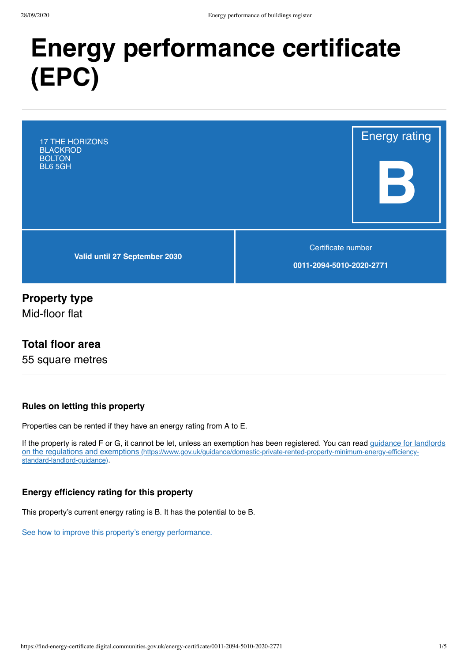# **Energy performance certificate (EPC)**

17 THE HORIZONS **BLACKROD BOLTON** BL6 5GH

**Valid until 27 September 2030**

Certificate number

Energy rating

**B**

**0011-2094-5010-2020-2771**

## **Property type**

Mid-floor flat

#### **Total floor area**

55 square metres

#### **Rules on letting this property**

Properties can be rented if they have an energy rating from A to E.

[If the property is rated F or G, it cannot be let, unless an exemption has been registered. You can read guidance for landlords](https://www.gov.uk/guidance/domestic-private-rented-property-minimum-energy-efficiency-standard-landlord-guidance) on the regulations and exemptions (https://www.gov.uk/guidance/domestic-private-rented-property-minimum-energy-efficiencystandard-landlord-guidance).

#### **Energy efficiency rating for this property**

This property's current energy rating is B. It has the potential to be B.

[See how to improve this property's energy performance.](#page-3-0)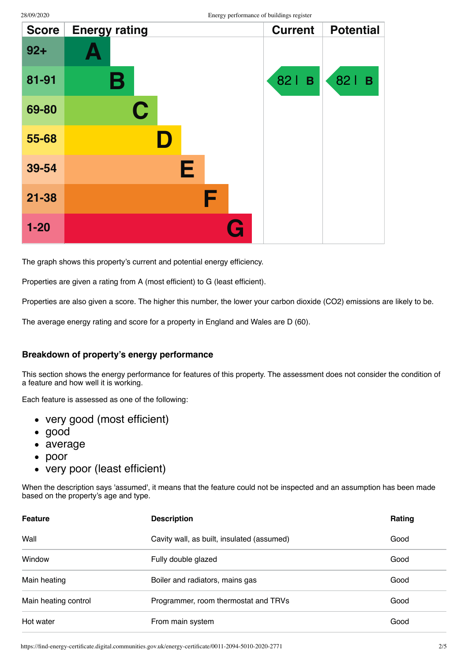| <b>Score</b> | <b>Energy rating</b> | <b>Current</b>    | <b>Potential</b>      |
|--------------|----------------------|-------------------|-----------------------|
| $92 +$       |                      |                   |                       |
| 81-91        | В                    | 82<br>$\mathbf B$ | 821<br>$\overline{B}$ |
| 69-80        | C                    |                   |                       |
| 55-68        | D                    |                   |                       |
| 39-54        | Е                    |                   |                       |
| $21 - 38$    | F                    |                   |                       |
| $1 - 20$     | G                    |                   |                       |

The graph shows this property's current and potential energy efficiency.

Properties are given a rating from A (most efficient) to G (least efficient).

Properties are also given a score. The higher this number, the lower your carbon dioxide (CO2) emissions are likely to be.

The average energy rating and score for a property in England and Wales are D (60).

#### **Breakdown of property's energy performance**

This section shows the energy performance for features of this property. The assessment does not consider the condition of a feature and how well it is working.

Each feature is assessed as one of the following:

- very good (most efficient)
- good
- average
- $\bullet$ poor
- very poor (least efficient)

When the description says 'assumed', it means that the feature could not be inspected and an assumption has been made based on the property's age and type.

| <b>Feature</b>       | <b>Description</b>                         | <b>Rating</b> |
|----------------------|--------------------------------------------|---------------|
| Wall                 | Cavity wall, as built, insulated (assumed) | Good          |
| Window               | Fully double glazed                        | Good          |
| Main heating         | Boiler and radiators, mains gas            | Good          |
| Main heating control | Programmer, room thermostat and TRVs       | Good          |
| Hot water            | From main system                           | Good          |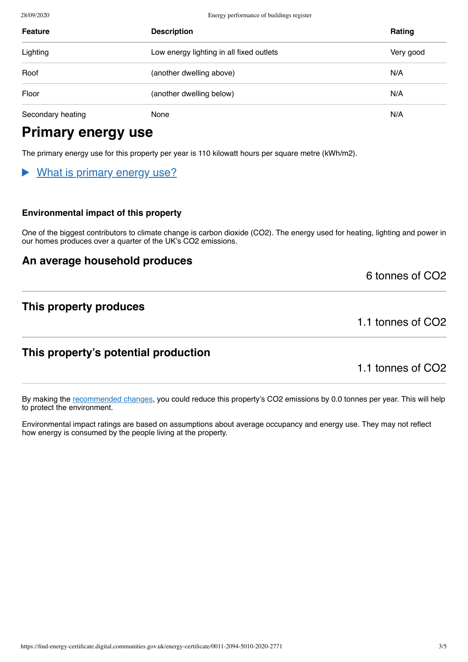28/09/2020 Energy performance of buildings register

| <b>Feature</b>    | <b>Description</b>                       | Rating    |
|-------------------|------------------------------------------|-----------|
| Lighting          | Low energy lighting in all fixed outlets | Very good |
| Roof              | (another dwelling above)                 | N/A       |
| Floor             | (another dwelling below)                 | N/A       |
| Secondary heating | None                                     | N/A       |

# **Primary energy use**

The primary energy use for this property per year is 110 kilowatt hours per square metre (kWh/m2).

## What is primary energy use?

#### **Environmental impact of this property**

One of the biggest contributors to climate change is carbon dioxide (CO2). The energy used for heating, lighting and power in our homes produces over a quarter of the UK's CO2 emissions.

#### **An average household produces**

6 tonnes of CO2

## **This property produces**

1.1 tonnes of CO2

## **This property's potential production**

1.1 tonnes of CO2

By making the [recommended changes](#page-3-0), you could reduce this property's CO2 emissions by 0.0 tonnes per year. This will help to protect the environment.

Environmental impact ratings are based on assumptions about average occupancy and energy use. They may not reflect how energy is consumed by the people living at the property.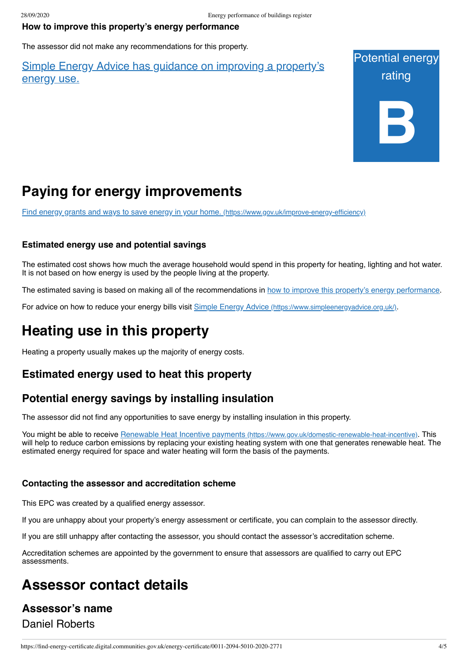#### <span id="page-3-0"></span>**How to improve this property's energy performance**

The assessor did not make any recommendations for this property.

#### Simple Energy Advice has guidance on improving a [property's](https://www.simpleenergyadvice.org.uk/) energy use.



# **Paying for energy improvements**

[Find energy grants and ways to save energy in your home.](https://www.gov.uk/improve-energy-efficiency) (https://www.gov.uk/improve-energy-efficiency)

#### **Estimated energy use and potential savings**

The estimated cost shows how much the average household would spend in this property for heating, lighting and hot water. It is not based on how energy is used by the people living at the property.

The estimated saving is based on making all of the recommendations in [how to improve this property's energy performance.](#page-3-0)

For advice on how to reduce your energy bills visit Simple Energy Advice [\(https://www.simpleenergyadvice.org.uk/\)](https://www.simpleenergyadvice.org.uk/).

# **Heating use in this property**

Heating a property usually makes up the majority of energy costs.

## **Estimated energy used to heat this property**

#### **Potential energy savings by installing insulation**

The assessor did not find any opportunities to save energy by installing insulation in this property.

You might be able to receive Renewable Heat Incentive payments [\(https://www.gov.uk/domestic-renewable-heat-incentive\)](https://www.gov.uk/domestic-renewable-heat-incentive). This will help to reduce carbon emissions by replacing your existing heating system with one that generates renewable heat. The estimated energy required for space and water heating will form the basis of the payments.

#### **Contacting the assessor and accreditation scheme**

This EPC was created by a qualified energy assessor.

If you are unhappy about your property's energy assessment or certificate, you can complain to the assessor directly.

If you are still unhappy after contacting the assessor, you should contact the assessor's accreditation scheme.

Accreditation schemes are appointed by the government to ensure that assessors are qualified to carry out EPC assessments.

# **Assessor contact details**

# **Assessor's name** Daniel Roberts